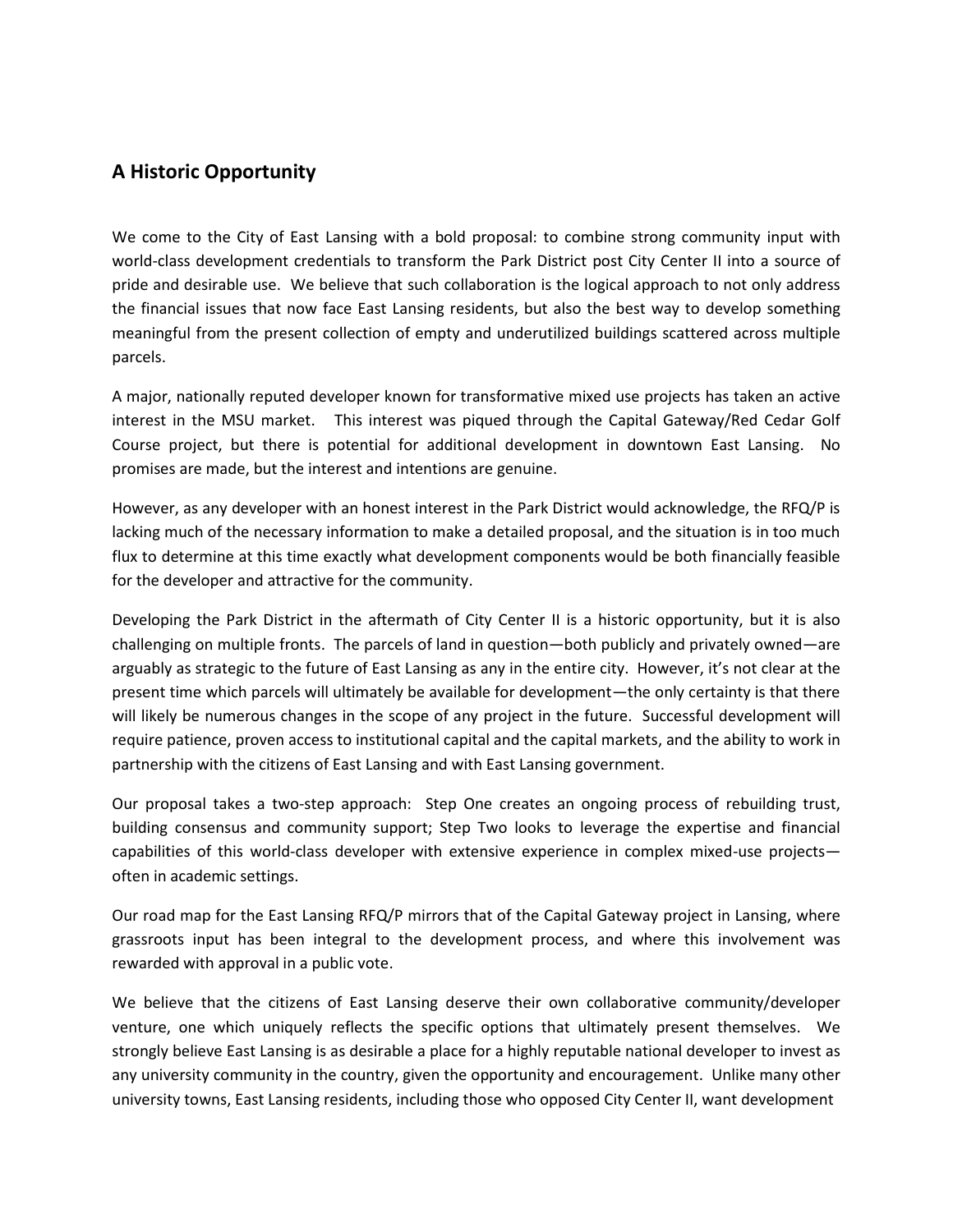### **A Historic Opportunity**

We come to the City of East Lansing with a bold proposal: to combine strong community input with world-class development credentials to transform the Park District post City Center II into a source of pride and desirable use. We believe that such collaboration is the logical approach to not only address the financial issues that now face East Lansing residents, but also the best way to develop something meaningful from the present collection of empty and underutilized buildings scattered across multiple parcels.

A major, nationally reputed developer known for transformative mixed use projects has taken an active interest in the MSU market. This interest was piqued through the Capital Gateway/Red Cedar Golf Course project, but there is potential for additional development in downtown East Lansing. No promises are made, but the interest and intentions are genuine.

However, as any developer with an honest interest in the Park District would acknowledge, the RFQ/P is lacking much of the necessary information to make a detailed proposal, and the situation is in too much flux to determine at this time exactly what development components would be both financially feasible for the developer and attractive for the community.

Developing the Park District in the aftermath of City Center II is a historic opportunity, but it is also challenging on multiple fronts. The parcels of land in question—both publicly and privately owned—are arguably as strategic to the future of East Lansing as any in the entire city. However, it's not clear at the present time which parcels will ultimately be available for development—the only certainty is that there will likely be numerous changes in the scope of any project in the future. Successful development will require patience, proven access to institutional capital and the capital markets, and the ability to work in partnership with the citizens of East Lansing and with East Lansing government.

Our proposal takes a two-step approach: Step One creates an ongoing process of rebuilding trust, building consensus and community support; Step Two looks to leverage the expertise and financial capabilities of this world-class developer with extensive experience in complex mixed-use projects often in academic settings.

Our road map for the East Lansing RFQ/P mirrors that of the Capital Gateway project in Lansing, where grassroots input has been integral to the development process, and where this involvement was rewarded with approval in a public vote.

We believe that the citizens of East Lansing deserve their own collaborative community/developer venture, one which uniquely reflects the specific options that ultimately present themselves. We strongly believe East Lansing is as desirable a place for a highly reputable national developer to invest as any university community in the country, given the opportunity and encouragement. Unlike many other university towns, East Lansing residents, including those who opposed City Center II, want development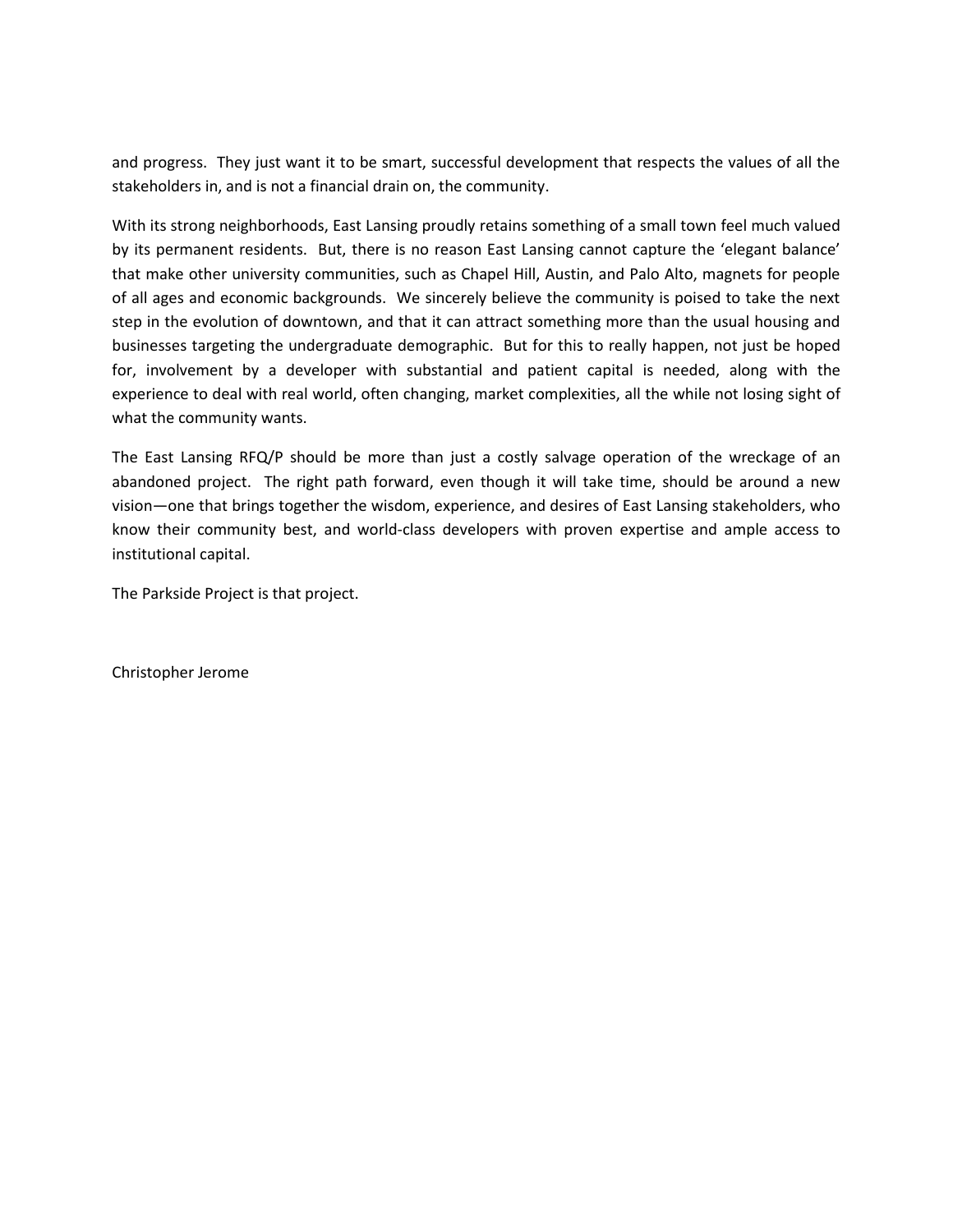and progress. They just want it to be smart, successful development that respects the values of all the stakeholders in, and is not a financial drain on, the community.

With its strong neighborhoods, East Lansing proudly retains something of a small town feel much valued by its permanent residents. But, there is no reason East Lansing cannot capture the 'elegant balance' that make other university communities, such as Chapel Hill, Austin, and Palo Alto, magnets for people of all ages and economic backgrounds. We sincerely believe the community is poised to take the next step in the evolution of downtown, and that it can attract something more than the usual housing and businesses targeting the undergraduate demographic. But for this to really happen, not just be hoped for, involvement by a developer with substantial and patient capital is needed, along with the experience to deal with real world, often changing, market complexities, all the while not losing sight of what the community wants.

The East Lansing RFQ/P should be more than just a costly salvage operation of the wreckage of an abandoned project. The right path forward, even though it will take time, should be around a new vision—one that brings together the wisdom, experience, and desires of East Lansing stakeholders, who know their community best, and world-class developers with proven expertise and ample access to institutional capital.

The Parkside Project is that project.

Christopher Jerome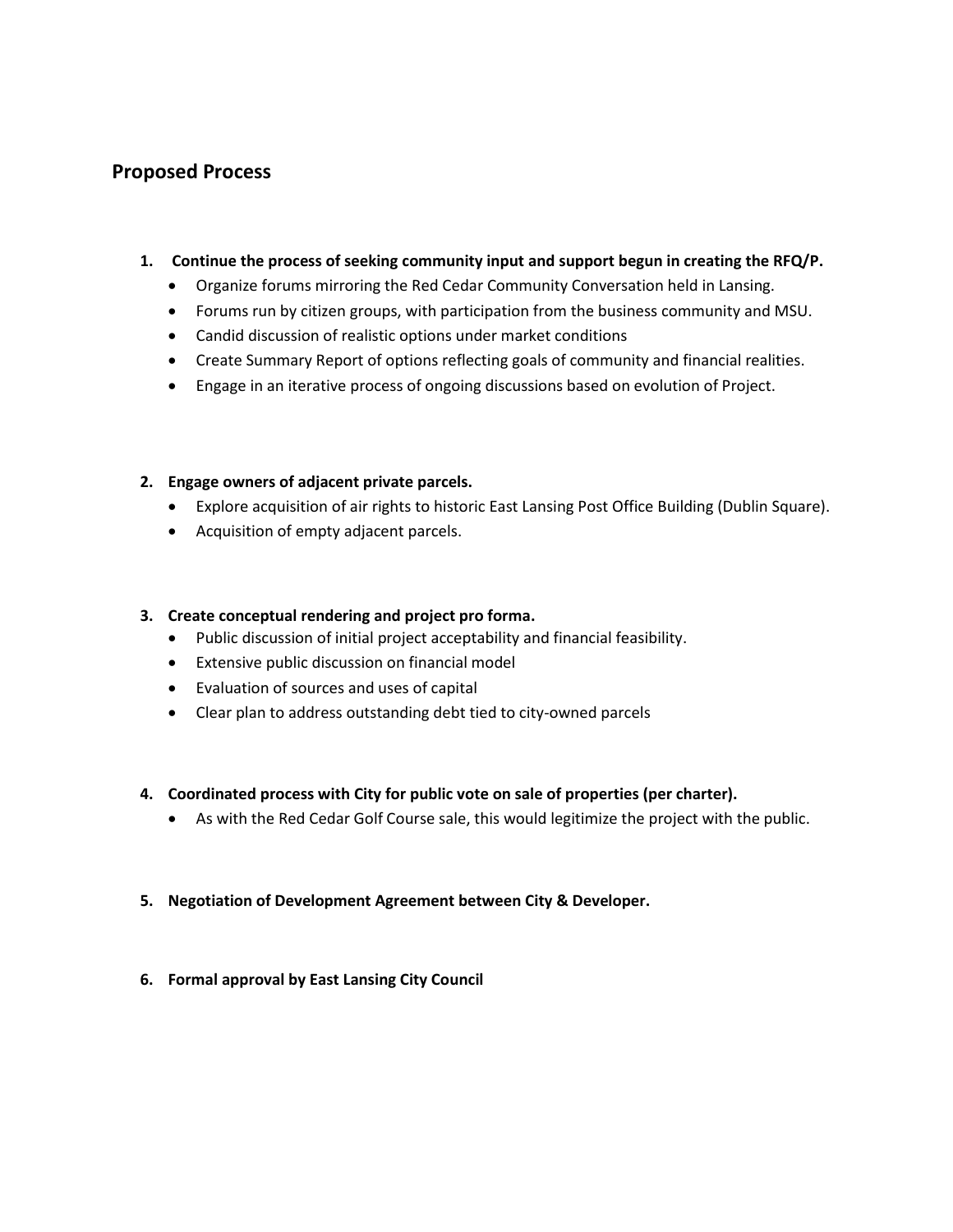## **Proposed Process**

#### **1. Continue the process of seeking community input and support begun in creating the RFQ/P.**

- Organize forums mirroring the Red Cedar Community Conversation held in Lansing.
- Forums run by citizen groups, with participation from the business community and MSU.
- Candid discussion of realistic options under market conditions
- Create Summary Report of options reflecting goals of community and financial realities.
- Engage in an iterative process of ongoing discussions based on evolution of Project.

### **2. Engage owners of adjacent private parcels.**

- Explore acquisition of air rights to historic East Lansing Post Office Building (Dublin Square).
- Acquisition of empty adjacent parcels.

### **3. Create conceptual rendering and project pro forma.**

- Public discussion of initial project acceptability and financial feasibility.
- Extensive public discussion on financial model
- Evaluation of sources and uses of capital
- Clear plan to address outstanding debt tied to city-owned parcels

### **4. Coordinated process with City for public vote on sale of properties (per charter).**

As with the Red Cedar Golf Course sale, this would legitimize the project with the public.

### **5. Negotiation of Development Agreement between City & Developer.**

**6. Formal approval by East Lansing City Council**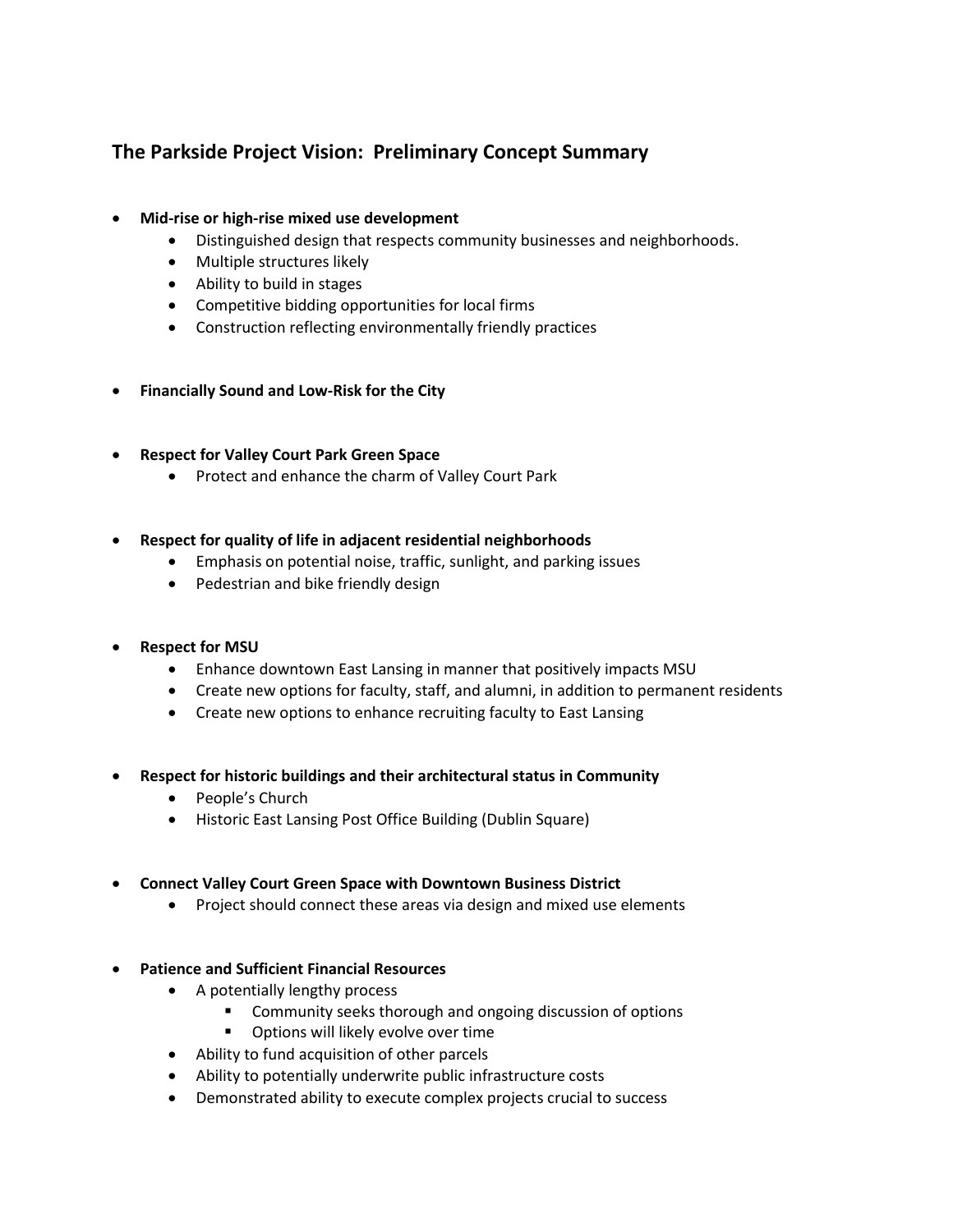# **The Parkside Project Vision: Preliminary Concept Summary**

### **Mid-rise or high-rise mixed use development**

- Distinguished design that respects community businesses and neighborhoods.
- Multiple structures likely
- Ability to build in stages
- Competitive bidding opportunities for local firms
- Construction reflecting environmentally friendly practices
- **Financially Sound and Low-Risk for the City**

### **Respect for Valley Court Park Green Space**

• Protect and enhance the charm of Valley Court Park

### **Respect for quality of life in adjacent residential neighborhoods**

- Emphasis on potential noise, traffic, sunlight, and parking issues
- Pedestrian and bike friendly design

### **Respect for MSU**

- Enhance downtown East Lansing in manner that positively impacts MSU
- Create new options for faculty, staff, and alumni, in addition to permanent residents
- Create new options to enhance recruiting faculty to East Lansing
- **Respect for historic buildings and their architectural status in Community**
	- People's Church
	- Historic East Lansing Post Office Building (Dublin Square)

### **Connect Valley Court Green Space with Downtown Business District**

- Project should connect these areas via design and mixed use elements
- **Patience and Sufficient Financial Resources**
	- A potentially lengthy process
		- **EXECOMMUNICE:** Community seeks thorough and ongoing discussion of options
		- **•** Options will likely evolve over time
	- Ability to fund acquisition of other parcels
	- Ability to potentially underwrite public infrastructure costs
	- Demonstrated ability to execute complex projects crucial to success